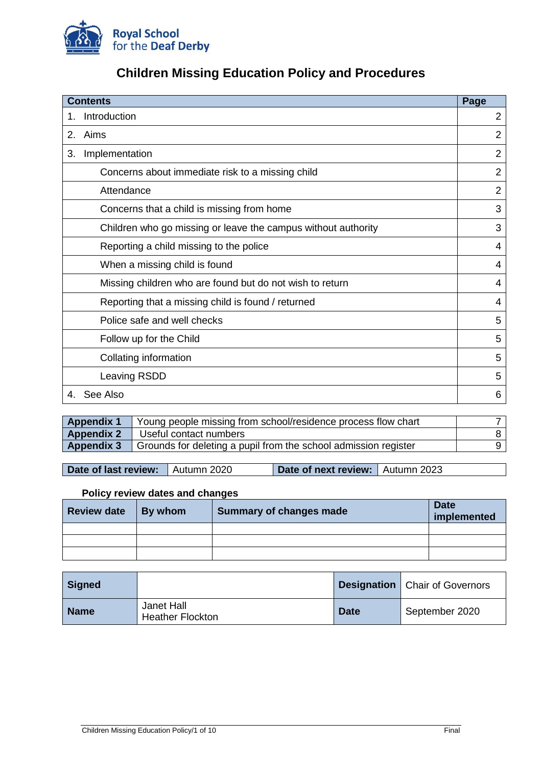

# **Children Missing Education Policy and Procedures**

| <b>Contents</b>    |                                                               | Page           |
|--------------------|---------------------------------------------------------------|----------------|
| Introduction<br>1. |                                                               |                |
| 2.                 | Aims                                                          | $\overline{2}$ |
| 3.                 | Implementation                                                | $\overline{2}$ |
|                    | Concerns about immediate risk to a missing child              | $\overline{2}$ |
|                    | Attendance                                                    | $\overline{2}$ |
|                    | Concerns that a child is missing from home                    | 3              |
|                    | Children who go missing or leave the campus without authority | 3              |
|                    | Reporting a child missing to the police                       | 4              |
|                    | When a missing child is found                                 | 4              |
|                    | Missing children who are found but do not wish to return      | 4              |
|                    | Reporting that a missing child is found / returned            | 4              |
|                    | Police safe and well checks                                   | 5              |
|                    | Follow up for the Child                                       | 5              |
|                    | Collating information                                         | 5              |
|                    | Leaving RSDD                                                  | 5              |
| 4.                 | See Also                                                      | 6              |

|                   | <b>Appendix 1</b> Young people missing from school/residence process flow chart |  |
|-------------------|---------------------------------------------------------------------------------|--|
| <b>Appendix 2</b> | Useful contact numbers                                                          |  |
| <b>Appendix 3</b> | Grounds for deleting a pupil from the school admission register                 |  |
|                   |                                                                                 |  |

**Date of last review:** Autumn 2020 **Date of next review:** Autumn 2023

# **Policy review dates and changes**

| <b>Review date</b> | $\vert$ By whom | Summary of changes made | <b>Date</b><br>implemented |
|--------------------|-----------------|-------------------------|----------------------------|
|                    |                 |                         |                            |
|                    |                 |                         |                            |
|                    |                 |                         |                            |

| <b>Signed</b> |                                              |             | <b>Designation</b>   Chair of Governors |
|---------------|----------------------------------------------|-------------|-----------------------------------------|
| <b>Name</b>   | <b>Janet Hall</b><br><b>Heather Flockton</b> | <b>Date</b> | September 2020                          |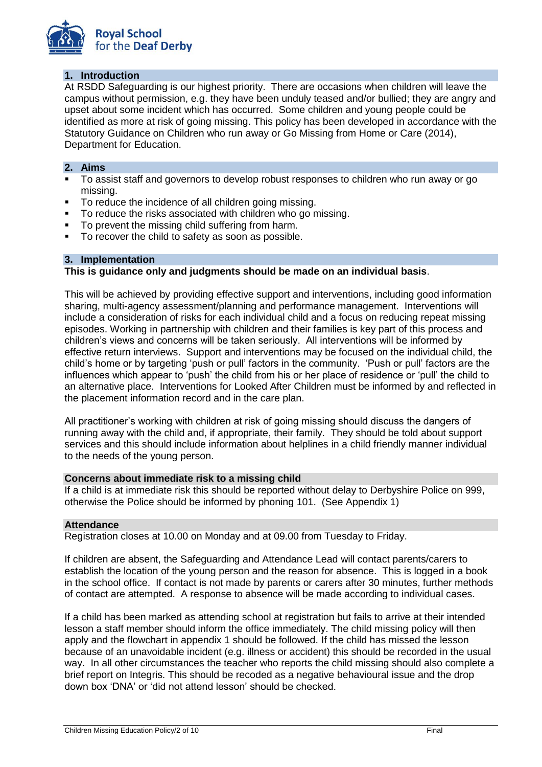

## **1. Introduction**

At RSDD Safeguarding is our highest priority. There are occasions when children will leave the campus without permission, e.g. they have been unduly teased and/or bullied; they are angry and upset about some incident which has occurred. Some children and young people could be identified as more at risk of going missing. This policy has been developed in accordance with the Statutory Guidance on Children who run away or Go Missing from Home or Care (2014), Department for Education.

### **2. Aims**

- To assist staff and governors to develop robust responses to children who run away or go missing.
- To reduce the incidence of all children going missing.
- To reduce the risks associated with children who go missing.
- To prevent the missing child suffering from harm.
- To recover the child to safety as soon as possible.

### **3. Implementation**

### **This is guidance only and judgments should be made on an individual basis**.

This will be achieved by providing effective support and interventions, including good information sharing, multi-agency assessment/planning and performance management. Interventions will include a consideration of risks for each individual child and a focus on reducing repeat missing episodes. Working in partnership with children and their families is key part of this process and children's views and concerns will be taken seriously. All interventions will be informed by effective return interviews. Support and interventions may be focused on the individual child, the child's home or by targeting 'push or pull' factors in the community. 'Push or pull' factors are the influences which appear to 'push' the child from his or her place of residence or 'pull' the child to an alternative place. Interventions for Looked After Children must be informed by and reflected in the placement information record and in the care plan.

All practitioner's working with children at risk of going missing should discuss the dangers of running away with the child and, if appropriate, their family. They should be told about support services and this should include information about helplines in a child friendly manner individual to the needs of the young person.

### **Concerns about immediate risk to a missing child**

If a child is at immediate risk this should be reported without delay to Derbyshire Police on 999, otherwise the Police should be informed by phoning 101. (See Appendix 1)

### **Attendance**

Registration closes at 10.00 on Monday and at 09.00 from Tuesday to Friday.

If children are absent, the Safeguarding and Attendance Lead will contact parents/carers to establish the location of the young person and the reason for absence. This is logged in a book in the school office. If contact is not made by parents or carers after 30 minutes, further methods of contact are attempted. A response to absence will be made according to individual cases.

If a child has been marked as attending school at registration but fails to arrive at their intended lesson a staff member should inform the office immediately. The child missing policy will then apply and the flowchart in appendix 1 should be followed. If the child has missed the lesson because of an unavoidable incident (e.g. illness or accident) this should be recorded in the usual way. In all other circumstances the teacher who reports the child missing should also complete a brief report on Integris. This should be recoded as a negative behavioural issue and the drop down box 'DNA' or 'did not attend lesson' should be checked.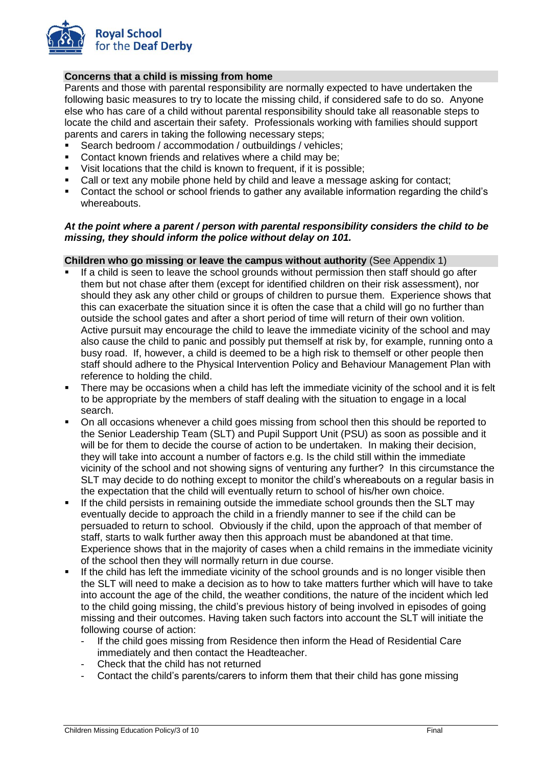

# **Concerns that a child is missing from home**

Parents and those with parental responsibility are normally expected to have undertaken the following basic measures to try to locate the missing child, if considered safe to do so. Anyone else who has care of a child without parental responsibility should take all reasonable steps to locate the child and ascertain their safety. Professionals working with families should support parents and carers in taking the following necessary steps;

- Search bedroom / accommodation / outbuildings / vehicles;
- **Contact known friends and relatives where a child may be:**
- Visit locations that the child is known to frequent, if it is possible;
- Call or text any mobile phone held by child and leave a message asking for contact;
- Contact the school or school friends to gather any available information regarding the child's whereabouts.

### *At the point where a parent / person with parental responsibility considers the child to be missing, they should inform the police without delay on 101.*

### **Children who go missing or leave the campus without authority** (See Appendix 1)

- If a child is seen to leave the school grounds without permission then staff should go after them but not chase after them (except for identified children on their risk assessment), nor should they ask any other child or groups of children to pursue them. Experience shows that this can exacerbate the situation since it is often the case that a child will go no further than outside the school gates and after a short period of time will return of their own volition. Active pursuit may encourage the child to leave the immediate vicinity of the school and may also cause the child to panic and possibly put themself at risk by, for example, running onto a busy road. If, however, a child is deemed to be a high risk to themself or other people then staff should adhere to the Physical Intervention Policy and Behaviour Management Plan with reference to holding the child.
- There may be occasions when a child has left the immediate vicinity of the school and it is felt to be appropriate by the members of staff dealing with the situation to engage in a local search.
- On all occasions whenever a child goes missing from school then this should be reported to the Senior Leadership Team (SLT) and Pupil Support Unit (PSU) as soon as possible and it will be for them to decide the course of action to be undertaken. In making their decision, they will take into account a number of factors e.g. Is the child still within the immediate vicinity of the school and not showing signs of venturing any further? In this circumstance the SLT may decide to do nothing except to monitor the child's whereabouts on a regular basis in the expectation that the child will eventually return to school of his/her own choice.
- If the child persists in remaining outside the immediate school grounds then the SLT may eventually decide to approach the child in a friendly manner to see if the child can be persuaded to return to school. Obviously if the child, upon the approach of that member of staff, starts to walk further away then this approach must be abandoned at that time. Experience shows that in the majority of cases when a child remains in the immediate vicinity of the school then they will normally return in due course.
- If the child has left the immediate vicinity of the school grounds and is no longer visible then the SLT will need to make a decision as to how to take matters further which will have to take into account the age of the child, the weather conditions, the nature of the incident which led to the child going missing, the child's previous history of being involved in episodes of going missing and their outcomes. Having taken such factors into account the SLT will initiate the following course of action:
	- If the child goes missing from Residence then inform the Head of Residential Care immediately and then contact the Headteacher.
	- Check that the child has not returned
	- Contact the child's parents/carers to inform them that their child has gone missing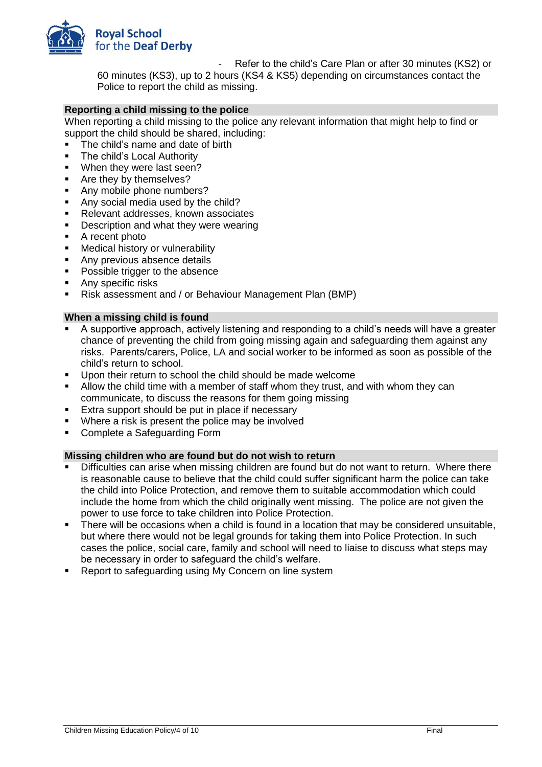

Refer to the child's Care Plan or after 30 minutes (KS2) or

60 minutes (KS3), up to 2 hours (KS4 & KS5) depending on circumstances contact the Police to report the child as missing.

### **Reporting a child missing to the police**

When reporting a child missing to the police any relevant information that might help to find or support the child should be shared, including:

- The child's name and date of birth
- **F** The child's Local Authority
- **When they were last seen?**
- **Are they by themselves?**
- Any mobile phone numbers?
- Any social media used by the child?
- Relevant addresses, known associates
- **Description and what they were wearing**
- A recent photo
- **Medical history or vulnerability**
- Any previous absence details
- Possible trigger to the absence
- Any specific risks
- Risk assessment and / or Behaviour Management Plan (BMP)

### **When a missing child is found**

- A supportive approach, actively listening and responding to a child's needs will have a greater chance of preventing the child from going missing again and safeguarding them against any risks. Parents/carers, Police, LA and social worker to be informed as soon as possible of the child's return to school.
- Upon their return to school the child should be made welcome
- Allow the child time with a member of staff whom they trust, and with whom they can communicate, to discuss the reasons for them going missing
- **Extra support should be put in place if necessary**
- Where a risk is present the police may be involved
- Complete a Safeguarding Form

### **Missing children who are found but do not wish to return**

- Difficulties can arise when missing children are found but do not want to return. Where there is reasonable cause to believe that the child could suffer significant harm the police can take the child into Police Protection, and remove them to suitable accommodation which could include the home from which the child originally went missing. The police are not given the power to use force to take children into Police Protection.
- There will be occasions when a child is found in a location that may be considered unsuitable, but where there would not be legal grounds for taking them into Police Protection. In such cases the police, social care, family and school will need to liaise to discuss what steps may be necessary in order to safeguard the child's welfare.
- Report to safeguarding using My Concern on line system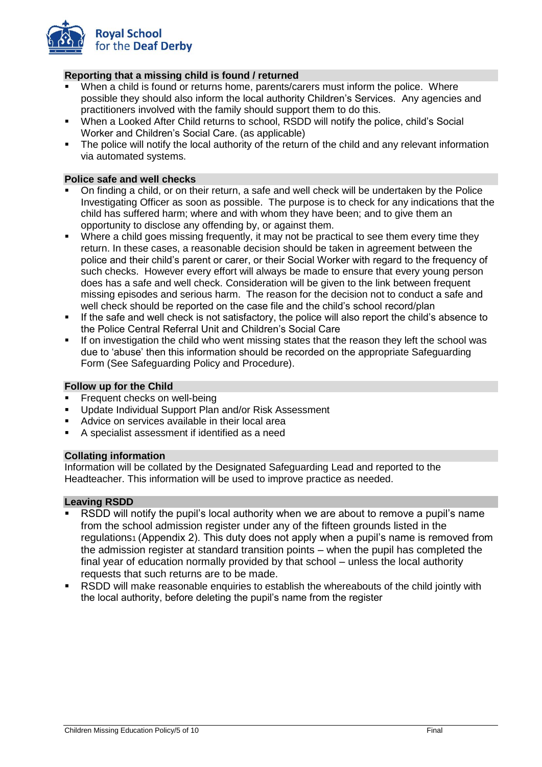

# **Reporting that a missing child is found / returned**

- When a child is found or returns home, parents/carers must inform the police. Where possible they should also inform the local authority Children's Services. Any agencies and practitioners involved with the family should support them to do this.
- When a Looked After Child returns to school, RSDD will notify the police, child's Social Worker and Children's Social Care. (as applicable)
- The police will notify the local authority of the return of the child and any relevant information via automated systems.

### **Police safe and well checks**

- On finding a child, or on their return, a safe and well check will be undertaken by the Police Investigating Officer as soon as possible. The purpose is to check for any indications that the child has suffered harm; where and with whom they have been; and to give them an opportunity to disclose any offending by, or against them.
- Where a child goes missing frequently, it may not be practical to see them every time they return. In these cases, a reasonable decision should be taken in agreement between the police and their child's parent or carer, or their Social Worker with regard to the frequency of such checks. However every effort will always be made to ensure that every young person does has a safe and well check. Consideration will be given to the link between frequent missing episodes and serious harm. The reason for the decision not to conduct a safe and well check should be reported on the case file and the child's school record/plan
- If the safe and well check is not satisfactory, the police will also report the child's absence to the Police Central Referral Unit and Children's Social Care
- If on investigation the child who went missing states that the reason they left the school was due to 'abuse' then this information should be recorded on the appropriate Safeguarding Form (See Safeguarding Policy and Procedure).

### **Follow up for the Child**

- Frequent checks on well-being
- Update Individual Support Plan and/or Risk Assessment
- Advice on services available in their local area
- A specialist assessment if identified as a need

### **Collating information**

Information will be collated by the Designated Safeguarding Lead and reported to the Headteacher. This information will be used to improve practice as needed.

### **Leaving RSDD**

- RSDD will notify the pupil's local authority when we are about to remove a pupil's name from the school admission register under any of the fifteen grounds listed in the regulations<sub>1</sub> (Appendix 2). This duty does not apply when a pupil's name is removed from the admission register at standard transition points – when the pupil has completed the final year of education normally provided by that school – unless the local authority requests that such returns are to be made.
- RSDD will make reasonable enquiries to establish the whereabouts of the child jointly with the local authority, before deleting the pupil's name from the register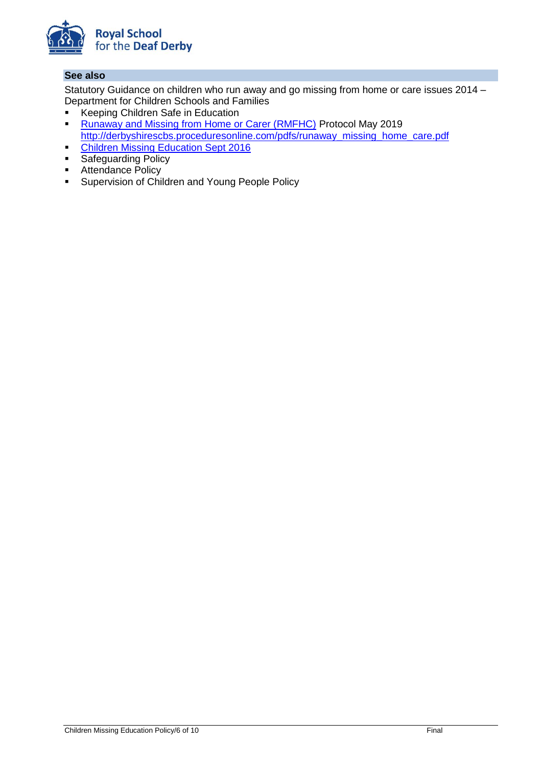

## **See also**

Statutory Guidance on children who run away and go missing from home or care issues 2014 – Department for Children Schools and Families

- **Keeping Children Safe in Education**
- [Runaway and Missing from Home or Carer \(RMFHC\)](https://www.ddscp.org.uk/media/derby-scb/content-assets/documents/procedures/protocols/Joint_RMFHC_Protocol_FINALMay-2019_for_web.pdf) Protocol May 2019 http://derbyshirescbs.proceduresonline.com/pdfs/runaway\_missing\_home\_care.pdf
- **[Children Missing Education Sept 2016](https://assets.publishing.service.gov.uk/government/uploads/system/uploads/attachment_data/file/550416/Children_Missing_Education_-_statutory_guidance.pdf)**
- **Safeguarding Policy**
- **Attendance Policy**
- **Supervision of Children and Young People Policy**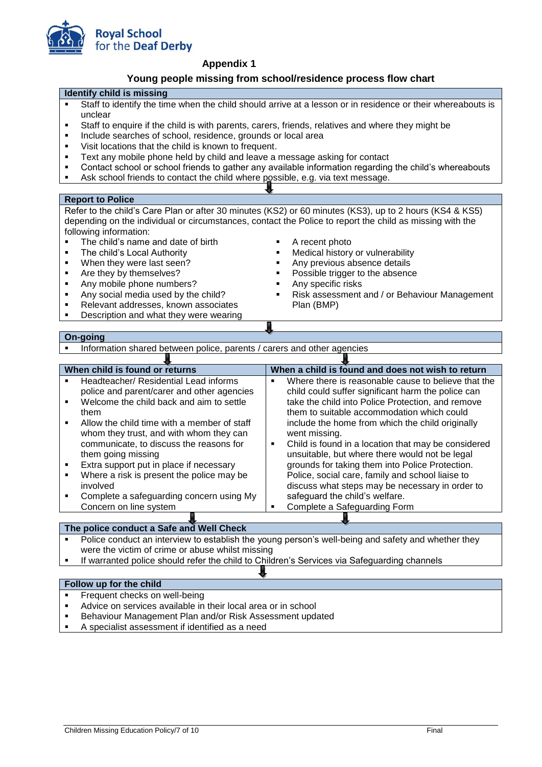

**Appendix 1**

### **Young people missing from school/residence process flow chart**

#### **Identify child is missing**

- Staff to identify the time when the child should arrive at a lesson or in residence or their whereabouts is unclear
- Staff to enquire if the child is with parents, carers, friends, relatives and where they might be
- Include searches of school, residence, grounds or local area
- Visit locations that the child is known to frequent.
- Text any mobile phone held by child and leave a message asking for contact
- Contact school or school friends to gather any available information regarding the child's whereabouts
- Ask school friends to contact the child where possible, e.g. via text message.

#### **Report to Police**

Refer to the child's Care Plan or after 30 minutes (KS2) or 60 minutes (KS3), up to 2 hours (KS4 & KS5) depending on the individual or circumstances, contact the Police to report the child as missing with the following information:

- The child's name and date of birth
- **F** The child's Local Authority
- **When they were last seen?**
- Are they by themselves?
- Any mobile phone numbers?
- Any social media used by the child?
- Relevant addresses, known associates
- **Description and what they were wearing**
- A recent photo
- Medical history or vulnerability
- Any previous absence details
- Possible trigger to the absence
- Any specific risks
- Risk assessment and / or Behaviour Management Plan (BMP)

#### **On-going**

Information shared between police, parents / carers and other agencies

|                                          | When child is found or returns                                                              | When a child is found and does not wish to return                                                  |  |  |
|------------------------------------------|---------------------------------------------------------------------------------------------|----------------------------------------------------------------------------------------------------|--|--|
|                                          | Headteacher/ Residential Lead informs                                                       | Where there is reasonable cause to believe that the                                                |  |  |
|                                          | police and parent/carer and other agencies                                                  | child could suffer significant harm the police can                                                 |  |  |
| ٠                                        | Welcome the child back and aim to settle                                                    | take the child into Police Protection, and remove                                                  |  |  |
|                                          | them                                                                                        | them to suitable accommodation which could                                                         |  |  |
| ٠                                        | Allow the child time with a member of staff                                                 | include the home from which the child originally                                                   |  |  |
|                                          | whom they trust, and with whom they can                                                     | went missing.                                                                                      |  |  |
|                                          | communicate, to discuss the reasons for                                                     | Child is found in a location that may be considered<br>٠                                           |  |  |
|                                          | them going missing                                                                          | unsuitable, but where there would not be legal                                                     |  |  |
|                                          | Extra support put in place if necessary                                                     | grounds for taking them into Police Protection.                                                    |  |  |
|                                          | Where a risk is present the police may be                                                   | Police, social care, family and school liaise to                                                   |  |  |
|                                          | involved                                                                                    | discuss what steps may be necessary in order to                                                    |  |  |
| ٠                                        | Complete a safeguarding concern using My                                                    | safeguard the child's welfare.                                                                     |  |  |
|                                          | Concern on line system                                                                      | Complete a Safeguarding Form<br>٠                                                                  |  |  |
|                                          |                                                                                             |                                                                                                    |  |  |
| The police conduct a Safe and Well Check |                                                                                             |                                                                                                    |  |  |
| ٠                                        |                                                                                             | Police conduct an interview to establish the young person's well-being and safety and whether they |  |  |
|                                          | were the victim of crime or abuse whilst missing                                            |                                                                                                    |  |  |
|                                          | If warranted police should refer the child to Children's Services via Safeguarding channels |                                                                                                    |  |  |

#### **Follow up for the child**

- Frequent checks on well-being
- Advice on services available in their local area or in school
- Behaviour Management Plan and/or Risk Assessment updated
- A specialist assessment if identified as a need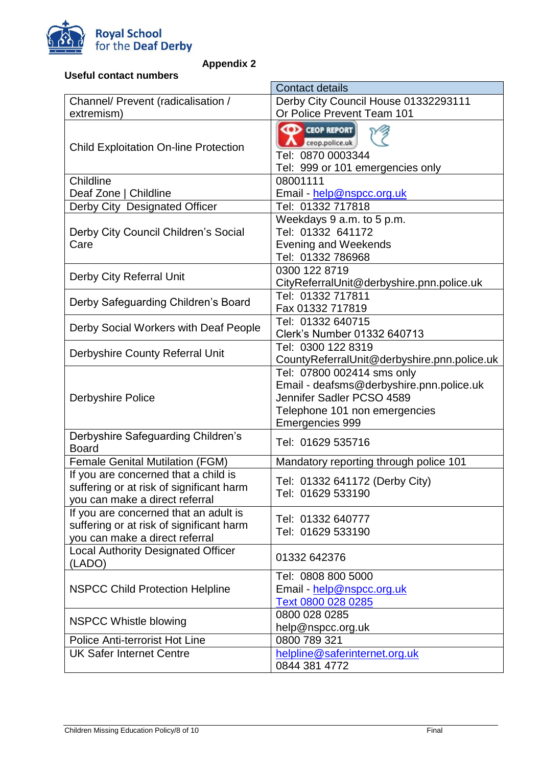

**Appendix 2**

| <b>Useful contact numbers</b>                                                                                       |                                                                                                                                                         |  |  |
|---------------------------------------------------------------------------------------------------------------------|---------------------------------------------------------------------------------------------------------------------------------------------------------|--|--|
|                                                                                                                     | <b>Contact details</b>                                                                                                                                  |  |  |
| Channel/ Prevent (radicalisation /                                                                                  | Derby City Council House 01332293111                                                                                                                    |  |  |
| extremism)                                                                                                          | Or Police Prevent Team 101                                                                                                                              |  |  |
| <b>Child Exploitation On-line Protection</b>                                                                        | <b>CEOP REPORT</b><br>ceop.police.uk<br>Tel: 0870 0003344<br>Tel: 999 or 101 emergencies only                                                           |  |  |
| Childline                                                                                                           | 08001111                                                                                                                                                |  |  |
| Deaf Zone   Childline                                                                                               | Email - help@nspcc.org.uk                                                                                                                               |  |  |
| Derby City Designated Officer                                                                                       | Tel: 01332 717818                                                                                                                                       |  |  |
| Derby City Council Children's Social<br>Care                                                                        | Weekdays 9 a.m. to 5 p.m.<br>Tel: 01332 641172<br><b>Evening and Weekends</b><br>Tel: 01332 786968                                                      |  |  |
| Derby City Referral Unit                                                                                            | 0300 122 8719<br>CityReferralUnit@derbyshire.pnn.police.uk                                                                                              |  |  |
| Derby Safeguarding Children's Board                                                                                 | Tel: 01332 717811<br>Fax 01332 717819                                                                                                                   |  |  |
| Derby Social Workers with Deaf People                                                                               | Tel: 01332 640715<br>Clerk's Number 01332 640713                                                                                                        |  |  |
| Derbyshire County Referral Unit                                                                                     | Tel: 0300 122 8319<br>CountyReferralUnit@derbyshire.pnn.police.uk                                                                                       |  |  |
| <b>Derbyshire Police</b>                                                                                            | Tel: 07800 002414 sms only<br>Email - deafsms@derbyshire.pnn.police.uk<br>Jennifer Sadler PCSO 4589<br>Telephone 101 non emergencies<br>Emergencies 999 |  |  |
| Derbyshire Safeguarding Children's<br><b>Board</b>                                                                  | Tel: 01629 535716                                                                                                                                       |  |  |
| <b>Female Genital Mutilation (FGM)</b>                                                                              | Mandatory reporting through police 101                                                                                                                  |  |  |
| If you are concerned that a child is<br>suffering or at risk of significant harm<br>you can make a direct referral  | Tel: 01332 641172 (Derby City)<br>Tel: 01629 533190                                                                                                     |  |  |
| If you are concerned that an adult is<br>suffering or at risk of significant harm<br>you can make a direct referral | Tel: 01332 640777<br>Tel: 01629 533190                                                                                                                  |  |  |
| <b>Local Authority Designated Officer</b><br>(LADO)                                                                 | 01332 642376                                                                                                                                            |  |  |
| <b>NSPCC Child Protection Helpline</b>                                                                              | Tel: 0808 800 5000<br>Email - help@nspcc.org.uk<br>Text 0800 028 0285                                                                                   |  |  |
| <b>NSPCC Whistle blowing</b>                                                                                        | 0800 028 0285<br>help@nspcc.org.uk                                                                                                                      |  |  |
| Police Anti-terrorist Hot Line                                                                                      | 0800 789 321                                                                                                                                            |  |  |
| <b>UK Safer Internet Centre</b>                                                                                     | helpline@saferinternet.org.uk<br>0844 381 4772                                                                                                          |  |  |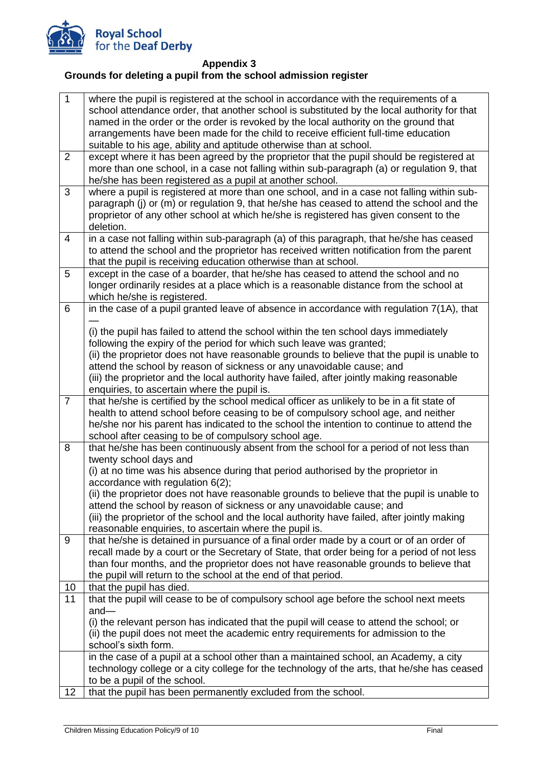

**Appendix 3**

## **Grounds for deleting a pupil from the school admission register**

| school attendance order, that another school is substituted by the local authority for that<br>named in the order or the order is revoked by the local authority on the ground that |  |
|-------------------------------------------------------------------------------------------------------------------------------------------------------------------------------------|--|
|                                                                                                                                                                                     |  |
|                                                                                                                                                                                     |  |
| arrangements have been made for the child to receive efficient full-time education                                                                                                  |  |
| suitable to his age, ability and aptitude otherwise than at school.                                                                                                                 |  |
| $\overline{2}$<br>except where it has been agreed by the proprietor that the pupil should be registered at                                                                          |  |
| more than one school, in a case not falling within sub-paragraph (a) or regulation 9, that                                                                                          |  |
| he/she has been registered as a pupil at another school.                                                                                                                            |  |
| 3<br>where a pupil is registered at more than one school, and in a case not falling within sub-                                                                                     |  |
| paragraph (j) or (m) or regulation 9, that he/she has ceased to attend the school and the                                                                                           |  |
| proprietor of any other school at which he/she is registered has given consent to the                                                                                               |  |
| deletion.                                                                                                                                                                           |  |
| in a case not falling within sub-paragraph (a) of this paragraph, that he/she has ceased<br>$\overline{4}$                                                                          |  |
| to attend the school and the proprietor has received written notification from the parent                                                                                           |  |
| that the pupil is receiving education otherwise than at school.                                                                                                                     |  |
| 5<br>except in the case of a boarder, that he/she has ceased to attend the school and no                                                                                            |  |
| longer ordinarily resides at a place which is a reasonable distance from the school at                                                                                              |  |
| which he/she is registered.                                                                                                                                                         |  |
| in the case of a pupil granted leave of absence in accordance with regulation 7(1A), that<br>6                                                                                      |  |
| (i) the pupil has failed to attend the school within the ten school days immediately                                                                                                |  |
| following the expiry of the period for which such leave was granted;                                                                                                                |  |
| (ii) the proprietor does not have reasonable grounds to believe that the pupil is unable to                                                                                         |  |
| attend the school by reason of sickness or any unavoidable cause; and                                                                                                               |  |
| (iii) the proprietor and the local authority have failed, after jointly making reasonable                                                                                           |  |
| enquiries, to ascertain where the pupil is.                                                                                                                                         |  |
| that he/she is certified by the school medical officer as unlikely to be in a fit state of<br>$\overline{7}$                                                                        |  |
| health to attend school before ceasing to be of compulsory school age, and neither                                                                                                  |  |
| he/she nor his parent has indicated to the school the intention to continue to attend the                                                                                           |  |
| school after ceasing to be of compulsory school age.                                                                                                                                |  |
| that he/she has been continuously absent from the school for a period of not less than<br>8                                                                                         |  |
| twenty school days and                                                                                                                                                              |  |
| (i) at no time was his absence during that period authorised by the proprietor in                                                                                                   |  |
| accordance with regulation $6(2)$ ;                                                                                                                                                 |  |
| (ii) the proprietor does not have reasonable grounds to believe that the pupil is unable to                                                                                         |  |
| attend the school by reason of sickness or any unavoidable cause; and                                                                                                               |  |
| (iii) the proprietor of the school and the local authority have failed, after jointly making                                                                                        |  |
| reasonable enquiries, to ascertain where the pupil is.<br>that he/she is detained in pursuance of a final order made by a court or of an order of<br>9                              |  |
| recall made by a court or the Secretary of State, that order being for a period of not less                                                                                         |  |
| than four months, and the proprietor does not have reasonable grounds to believe that                                                                                               |  |
| the pupil will return to the school at the end of that period.                                                                                                                      |  |
| that the pupil has died.<br>10                                                                                                                                                      |  |
| that the pupil will cease to be of compulsory school age before the school next meets<br>11                                                                                         |  |
| $and -$                                                                                                                                                                             |  |
| (i) the relevant person has indicated that the pupil will cease to attend the school; or                                                                                            |  |
| (ii) the pupil does not meet the academic entry requirements for admission to the                                                                                                   |  |
| school's sixth form.                                                                                                                                                                |  |
| in the case of a pupil at a school other than a maintained school, an Academy, a city                                                                                               |  |
| technology college or a city college for the technology of the arts, that he/she has ceased                                                                                         |  |
| to be a pupil of the school.                                                                                                                                                        |  |
| that the pupil has been permanently excluded from the school.<br>12                                                                                                                 |  |